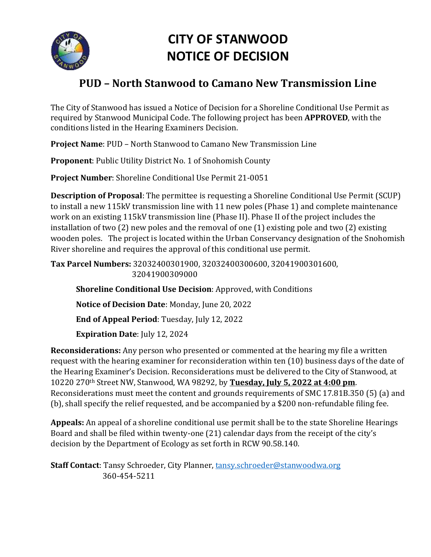

# **CITY OF STANWOOD NOTICE OF DECISION**

# **PUD – North Stanwood to Camano New Transmission Line**

The City of Stanwood has issued a Notice of Decision for a Shoreline Conditional Use Permit as required by Stanwood Municipal Code. The following project has been **APPROVED**, with the conditions listed in the Hearing Examiners Decision.

**Project Name**: PUD – North Stanwood to Camano New Transmission Line

**Proponent**: Public Utility District No. 1 of Snohomish County

**Project Number**: Shoreline Conditional Use Permit 21-0051

**Description of Proposal**: The permittee is requesting a Shoreline Conditional Use Permit (SCUP) to install a new 115kV transmission line with 11 new poles (Phase 1) and complete maintenance work on an existing 115kV transmission line (Phase II). Phase II of the project includes the installation of two (2) new poles and the removal of one (1) existing pole and two (2) existing wooden poles. The project is located within the Urban Conservancy designation of the Snohomish River shoreline and requires the approval of this conditional use permit.

**Tax Parcel Numbers:** 32032400301900, 32032400300600, 32041900301600, 32041900309000

**Shoreline Conditional Use Decision**: Approved, with Conditions

**Notice of Decision Date**: Monday, June 20, 2022

**End of Appeal Period**: Tuesday, July 12, 2022

**Expiration Date**: July 12, 2024

**Reconsiderations:** Any person who presented or commented at the hearing my file a written request with the hearing examiner for reconsideration within ten (10) business days of the date of the Hearing Examiner's Decision. Reconsiderations must be delivered to the City of Stanwood, at 10220 270th Street NW, Stanwood, WA 98292, by **Tuesday, July 5, 2022 at 4:00 pm**. Reconsiderations must meet the content and grounds requirements of SMC 17.81B.350 (5) (a) and (b), shall specify the relief requested, and be accompanied by a \$200 non-refundable filing fee.

**Appeals:** An appeal of a shoreline conditional use permit shall be to the state Shoreline Hearings Board and shall be filed within twenty-one (21) calendar days from the receipt of the city's decision by the Department of Ecology as set forth in RCW 90.58.140.

**Staff Contact**: Tansy Schroeder, City Planner, [tansy.schroeder@stanwoodwa.org](mailto:tansy.schroeder@stanwoodwa.org) 360-454-5211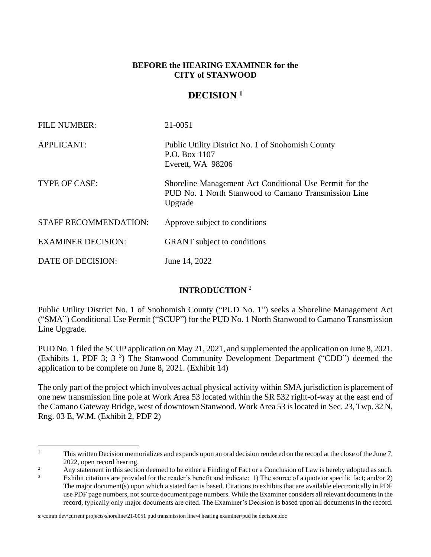#### **BEFORE the HEARING EXAMINER for the CITY of STANWOOD**

#### **DECISION <sup>1</sup>**

| <b>FILE NUMBER:</b>          | 21-0051                                                                                                                    |
|------------------------------|----------------------------------------------------------------------------------------------------------------------------|
| <b>APPLICANT:</b>            | Public Utility District No. 1 of Snohomish County<br>P.O. Box 1107<br>Everett, WA 98206                                    |
| TYPE OF CASE:                | Shoreline Management Act Conditional Use Permit for the<br>PUD No. 1 North Stanwood to Camano Transmission Line<br>Upgrade |
| <b>STAFF RECOMMENDATION:</b> | Approve subject to conditions                                                                                              |
| <b>EXAMINER DECISION:</b>    | <b>GRANT</b> subject to conditions                                                                                         |
| DATE OF DECISION:            | June 14, 2022                                                                                                              |

#### **INTRODUCTION** <sup>2</sup>

Public Utility District No. 1 of Snohomish County ("PUD No. 1") seeks a Shoreline Management Act ("SMA") Conditional Use Permit ("SCUP") for the PUD No. 1 North Stanwood to Camano Transmission Line Upgrade.

PUD No. 1 filed the SCUP application on May 21, 2021, and supplemented the application on June 8, 2021. (Exhibits 1, PDF 3; 3<sup>3</sup>) The Stanwood Community Development Department ("CDD") deemed the application to be complete on June 8, 2021. (Exhibit 14)

The only part of the project which involves actual physical activity within SMA jurisdiction is placement of one new transmission line pole at Work Area 53 located within the SR 532 right-of-way at the east end of the Camano Gateway Bridge, west of downtown Stanwood. Work Area 53 is located in Sec. 23, Twp. 32 N, Rng. 03 E, W.M. (Exhibit 2, PDF 2)

s:\comm dev\current projects\shoreline\21-0051 pud transmission line\4 hearing examiner\pud he decision.doc

<sup>&</sup>lt;sup>1</sup> This written Decision memorializes and expands upon an oral decision rendered on the record at the close of the June 7, 2022, open record hearing.

<sup>&</sup>lt;sup>2</sup> Any statement in this section deemed to be either a Finding of Fact or a Conclusion of Law is hereby adopted as such.

Exhibit citations are provided for the reader's benefit and indicate: 1) The source of a quote or specific fact; and/or 2) The major document(s) upon which a stated fact is based. Citations to exhibits that are available electronically in PDF use PDF page numbers, not source document page numbers. While the Examiner considers all relevant documents in the record, typically only major documents are cited. The Examiner's Decision is based upon all documents in the record.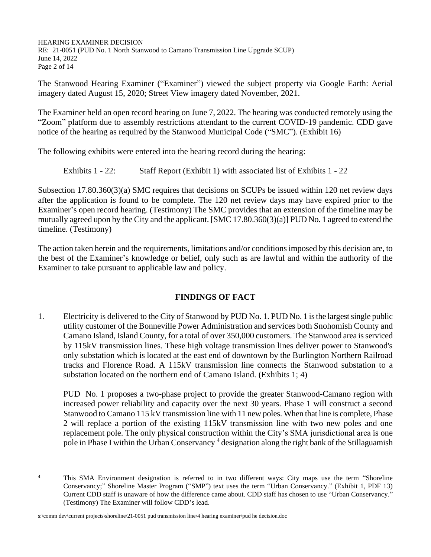HEARING EXAMINER DECISION RE: 21-0051 (PUD No. 1 North Stanwood to Camano Transmission Line Upgrade SCUP) June 14, 2022 Page 2 of 14

The Stanwood Hearing Examiner ("Examiner") viewed the subject property via Google Earth: Aerial imagery dated August 15, 2020; Street View imagery dated November, 2021.

The Examiner held an open record hearing on June 7, 2022. The hearing was conducted remotely using the "Zoom" platform due to assembly restrictions attendant to the current COVID-19 pandemic. CDD gave notice of the hearing as required by the Stanwood Municipal Code ("SMC"). (Exhibit 16)

The following exhibits were entered into the hearing record during the hearing:

Exhibits 1 - 22: Staff Report (Exhibit 1) with associated list of Exhibits 1 - 22

Subsection 17.80.360(3)(a) SMC requires that decisions on SCUPs be issued within 120 net review days after the application is found to be complete. The 120 net review days may have expired prior to the Examiner's open record hearing. (Testimony) The SMC provides that an extension of the timeline may be mutually agreed upon by the City and the applicant. [SMC 17.80.360(3)(a)] PUD No. 1 agreed to extend the timeline. (Testimony)

The action taken herein and the requirements, limitations and/or conditions imposed by this decision are, to the best of the Examiner's knowledge or belief, only such as are lawful and within the authority of the Examiner to take pursuant to applicable law and policy.

#### **FINDINGS OF FACT**

1. Electricity is delivered to the City of Stanwood by PUD No. 1. PUD No. 1 is the largest single public utility customer of the Bonneville Power Administration and services both Snohomish County and Camano Island, Island County, for a total of over 350,000 customers. The Stanwood area is serviced by 115kV transmission lines. These high voltage transmission lines deliver power to Stanwood's only substation which is located at the east end of downtown by the Burlington Northern Railroad tracks and Florence Road. A 115kV transmission line connects the Stanwood substation to a substation located on the northern end of Camano Island. (Exhibits 1; 4)

PUD No. 1 proposes a two-phase project to provide the greater Stanwood-Camano region with increased power reliability and capacity over the next 30 years. Phase 1 will construct a second Stanwood to Camano 115 kV transmission line with 11 new poles. When that line is complete, Phase 2 will replace a portion of the existing 115kV transmission line with two new poles and one replacement pole. The only physical construction within the City's SMA jurisdictional area is one pole in Phase I within the Urban Conservancy<sup>4</sup> designation along the right bank of the Stillaguamish

<sup>&</sup>lt;sup>4</sup> This SMA Environment designation is referred to in two different ways: City maps use the term "Shoreline" Conservancy;" Shoreline Master Program ("SMP") text uses the term "Urban Conservancy." (Exhibit 1, PDF 13) Current CDD staff is unaware of how the difference came about. CDD staff has chosen to use "Urban Conservancy." (Testimony) The Examiner will follow CDD's lead.

s:\comm dev\current projects\shoreline\21-0051 pud transmission line\4 hearing examiner\pud he decision.doc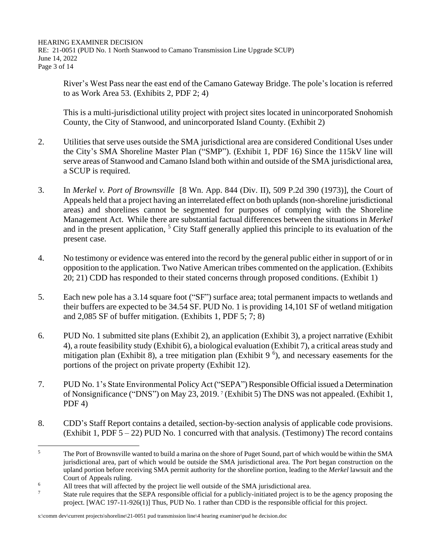HEARING EXAMINER DECISION RE: 21-0051 (PUD No. 1 North Stanwood to Camano Transmission Line Upgrade SCUP) June 14, 2022 Page 3 of 14

River's West Pass near the east end of the Camano Gateway Bridge. The pole's location is referred to as Work Area 53. (Exhibits 2, PDF 2; 4)

This is a multi-jurisdictional utility project with project sites located in unincorporated Snohomish County, the City of Stanwood, and unincorporated Island County. (Exhibit 2)

- 2. Utilities that serve uses outside the SMA jurisdictional area are considered Conditional Uses under the City's SMA Shoreline Master Plan ("SMP"). (Exhibit 1, PDF 16) Since the 115kV line will serve areas of Stanwood and Camano Island both within and outside of the SMA jurisdictional area, a SCUP is required.
- 3. In *Merkel v. Port of Brownsville* [8 Wn. App. 844 (Div. II), 509 P.2d 390 (1973)], the Court of Appeals held that a project having an interrelated effect on both uplands (non-shoreline jurisdictional areas) and shorelines cannot be segmented for purposes of complying with the Shoreline Management Act. While there are substantial factual differences between the situations in *Merkel* and in the present application, <sup>5</sup> City Staff generally applied this principle to its evaluation of the present case.
- 4. No testimony or evidence was entered into the record by the general public either in support of or in opposition to the application. Two Native American tribes commented on the application. (Exhibits 20; 21) CDD has responded to their stated concerns through proposed conditions. (Exhibit 1)
- 5. Each new pole has a 3.14 square foot ("SF") surface area; total permanent impacts to wetlands and their buffers are expected to be 34.54 SF. PUD No. 1 is providing 14,101 SF of wetland mitigation and 2,085 SF of buffer mitigation. (Exhibits 1, PDF 5; 7; 8)
- 6. PUD No. 1 submitted site plans (Exhibit 2), an application (Exhibit 3), a project narrative (Exhibit 4), a route feasibility study (Exhibit 6), a biological evaluation (Exhibit 7), a critical areas study and mitigation plan (Exhibit 8), a tree mitigation plan (Exhibit 9<sup>6</sup>), and necessary easements for the portions of the project on private property (Exhibit 12).
- 7. PUD No. 1's State Environmental Policy Act ("SEPA") Responsible Official issued a Determination of Nonsignificance ("DNS") on May 23, 2019. <sup>7</sup> (Exhibit 5) The DNS was not appealed. (Exhibit 1,  $PDF(4)$
- 8. CDD's Staff Report contains a detailed, section-by-section analysis of applicable code provisions. (Exhibit 1, PDF  $5 - 22$ ) PUD No. 1 concurred with that analysis. (Testimony) The record contains

<sup>&</sup>lt;sup>5</sup> The Port of Brownsville wanted to build a marina on the shore of Puget Sound, part of which would be within the SMA jurisdictional area, part of which would be outside the SMA jurisdictional area. The Port began construction on the upland portion before receiving SMA permit authority for the shoreline portion, leading to the *Merkel* lawsuit and the Court of Appeals ruling.

<sup>&</sup>lt;sup>6</sup> All trees that will affected by the project lie well outside of the SMA jurisdictional area.

<sup>7</sup> State rule requires that the SEPA responsible official for a publicly-initiated project is to be the agency proposing the project. [WAC 197-11-926(1)] Thus, PUD No. 1 rather than CDD is the responsible official for this project.

s:\comm dev\current projects\shoreline\21-0051 pud transmission line\4 hearing examiner\pud he decision.doc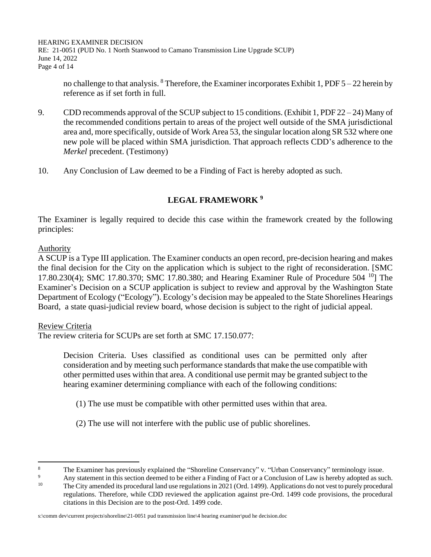HEARING EXAMINER DECISION RE: 21-0051 (PUD No. 1 North Stanwood to Camano Transmission Line Upgrade SCUP) June 14, 2022 Page 4 of 14

no challenge to that analysis. <sup>8</sup> Therefore, the Examiner incorporates Exhibit 1, PDF  $5 - 22$  herein by reference as if set forth in full.

- 9. CDD recommends approval of the SCUP subject to 15 conditions. (Exhibit 1, PDF 22 24) Many of the recommended conditions pertain to areas of the project well outside of the SMA jurisdictional area and, more specifically, outside of Work Area 53, the singular location along SR 532 where one new pole will be placed within SMA jurisdiction. That approach reflects CDD's adherence to the *Merkel* precedent. (Testimony)
- 10. Any Conclusion of Law deemed to be a Finding of Fact is hereby adopted as such.

#### **LEGAL FRAMEWORK <sup>9</sup>**

The Examiner is legally required to decide this case within the framework created by the following principles:

#### Authority

A SCUP is a Type III application. The Examiner conducts an open record, pre-decision hearing and makes the final decision for the City on the application which is subject to the right of reconsideration. [SMC 17.80.230(4); SMC 17.80.370; SMC 17.80.380; and Hearing Examiner Rule of Procedure 504 <sup>10</sup>] The Examiner's Decision on a SCUP application is subject to review and approval by the Washington State Department of Ecology ("Ecology"). Ecology's decision may be appealed to the State Shorelines Hearings Board, a state quasi-judicial review board, whose decision is subject to the right of judicial appeal.

#### Review Criteria

The review criteria for SCUPs are set forth at SMC 17.150.077:

Decision Criteria. Uses classified as conditional uses can be permitted only after consideration and by meeting such performance standards that make the use compatible with other permitted uses within that area. A conditional use permit may be granted subject to the hearing examiner determining compliance with each of the following conditions:

- (1) The use must be compatible with other permitted uses within that area.
- (2) The use will not interfere with the public use of public shorelines.

<sup>&</sup>lt;sup>8</sup><br>The Examiner has previously explained the "Shoreline Conservancy" v. "Urban Conservancy" terminology issue.

<sup>&</sup>lt;sup>9</sup> Any statement in this section deemed to be either a Finding of Fact or a Conclusion of Law is hereby adopted as such.<br><sup>10</sup> The City amended its presedural land use resultions in 2021 (Ord. 1400). Applications de not u <sup>10</sup> The City amended its procedural land use regulations in 2021 (Ord. 1499). Applications do not vest to purely procedural regulations. Therefore, while CDD reviewed the application against pre-Ord. 1499 code provisions, the procedural citations in this Decision are to the post-Ord. 1499 code.

s:\comm dev\current projects\shoreline\21-0051 pud transmission line\4 hearing examiner\pud he decision.doc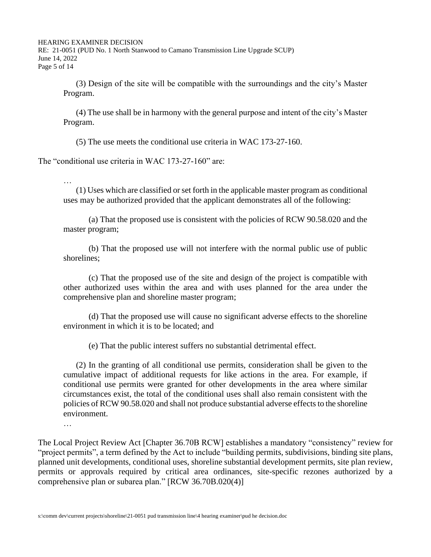HEARING EXAMINER DECISION

RE: 21-0051 (PUD No. 1 North Stanwood to Camano Transmission Line Upgrade SCUP) June 14, 2022 Page 5 of 14

(3) Design of the site will be compatible with the surroundings and the city's Master Program.

(4) The use shall be in harmony with the general purpose and intent of the city's Master Program.

(5) The use meets the conditional use criteria in WAC 173-27-160.

The "conditional use criteria in WAC 173-27-160" are:

(1) Uses which are classified or set forth in the applicable master program as conditional uses may be authorized provided that the applicant demonstrates all of the following:

(a) That the proposed use is consistent with the policies of RCW 90.58.020 and the master program;

(b) That the proposed use will not interfere with the normal public use of public shorelines;

(c) That the proposed use of the site and design of the project is compatible with other authorized uses within the area and with uses planned for the area under the comprehensive plan and shoreline master program;

(d) That the proposed use will cause no significant adverse effects to the shoreline environment in which it is to be located; and

(e) That the public interest suffers no substantial detrimental effect.

(2) In the granting of all conditional use permits, consideration shall be given to the cumulative impact of additional requests for like actions in the area. For example, if conditional use permits were granted for other developments in the area where similar circumstances exist, the total of the conditional uses shall also remain consistent with the policies of RCW 90.58.020 and shall not produce substantial adverse effects to the shoreline environment.

…

…

The Local Project Review Act [Chapter 36.70B RCW] establishes a mandatory "consistency" review for "project permits", a term defined by the Act to include "building permits, subdivisions, binding site plans, planned unit developments, conditional uses, shoreline substantial development permits, site plan review, permits or approvals required by critical area ordinances, site-specific rezones authorized by a comprehensive plan or subarea plan." [RCW 36.70B.020(4)]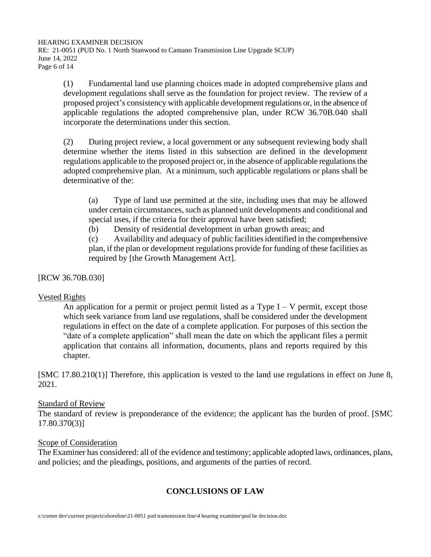HEARING EXAMINER DECISION RE: 21-0051 (PUD No. 1 North Stanwood to Camano Transmission Line Upgrade SCUP) June 14, 2022 Page 6 of 14

(1) Fundamental land use planning choices made in adopted comprehensive plans and development regulations shall serve as the foundation for project review. The review of a proposed project's consistency with applicable development regulations or, in the absence of applicable regulations the adopted comprehensive plan, under RCW 36.70B.040 shall incorporate the determinations under this section.

(2) During project review, a local government or any subsequent reviewing body shall determine whether the items listed in this subsection are defined in the development regulations applicable to the proposed project or, in the absence of applicable regulations the adopted comprehensive plan. At a minimum, such applicable regulations or plans shall be determinative of the:

(a) Type of land use permitted at the site, including uses that may be allowed under certain circumstances, such as planned unit developments and conditional and special uses, if the criteria for their approval have been satisfied;

(b) Density of residential development in urban growth areas; and

(c) Availability and adequacy of public facilities identified in the comprehensive plan, if the plan or development regulations provide for funding of these facilities as required by [the Growth Management Act].

[RCW 36.70B.030]

#### Vested Rights

An application for a permit or project permit listed as a Type  $I - V$  permit, except those which seek variance from land use regulations, shall be considered under the development regulations in effect on the date of a complete application. For purposes of this section the "date of a complete application" shall mean the date on which the applicant files a permit application that contains all information, documents, plans and reports required by this chapter.

[SMC 17.80.210(1)] Therefore, this application is vested to the land use regulations in effect on June 8, 2021.

#### Standard of Review

The standard of review is preponderance of the evidence; the applicant has the burden of proof. [SMC 17.80.370(3)]

#### Scope of Consideration

The Examiner has considered: all of the evidence and testimony; applicable adopted laws, ordinances, plans, and policies; and the pleadings, positions, and arguments of the parties of record.

#### **CONCLUSIONS OF LAW**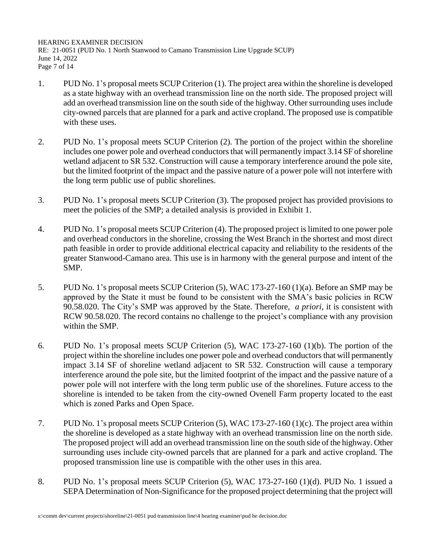HEARING EXAMINER DECISION RE: 21-0051 (PUD No. 1 North Stanwood to Camano Transmission Line Upgrade SCUP) June 14, 2022 Page 7 of 14

- 1. PUD No. 1's proposal meets SCUP Criterion (1). The project area within the shoreline is developed as a state highway with an overhead transmission line on the north side. The proposed project will add an overhead transmission line on the south side of the highway. Other surrounding uses include city-owned parcels that are planned for a park and active cropland. The proposed use is compatible with these uses.
- 2. PUD No. 1's proposal meets SCUP Criterion (2). The portion of the project within the shoreline includes one power pole and overhead conductors that will permanently impact 3.14 SF of shoreline wetland adjacent to SR 532. Construction will cause a temporary interference around the pole site, but the limited footprint of the impact and the passive nature of a power pole will not interfere with the long term public use of public shorelines.
- 3. PUD No. 1's proposal meets SCUP Criterion (3). The proposed project has provided provisions to meet the policies of the SMP; a detailed analysis is provided in Exhibit 1.
- 4. PUD No. 1's proposal meets SCUP Criterion (4). The proposed project is limited to one power pole and overhead conductors in the shoreline, crossing the West Branch in the shortest and most direct path feasible in order to provide additional electrical capacity and reliability to the residents of the greater Stanwood-Camano area. This use is in harmony with the general purpose and intent of the SMP.
- 5. PUD No. 1's proposal meets SCUP Criterion (5), WAC 173-27-160 (1)(a). Before an SMP may be approved by the State it must be found to be consistent with the SMA's basic policies in RCW 90.58.020. The City's SMP was approved by the State. Therefore, *a priori*, it is consistent with RCW 90.58.020. The record contains no challenge to the project's compliance with any provision within the SMP.
- 6. PUD No. 1's proposal meets SCUP Criterion (5), WAC 173-27-160 (1)(b). The portion of the project within the shoreline includes one power pole and overhead conductors that will permanently impact 3.14 SF of shoreline wetland adjacent to SR 532. Construction will cause a temporary interference around the pole site, but the limited footprint of the impact and the passive nature of a power pole will not interfere with the long term public use of the shorelines. Future access to the shoreline is intended to be taken from the city-owned Ovenell Farm property located to the east which is zoned Parks and Open Space.
- 7. PUD No. 1's proposal meets SCUP Criterion (5), WAC 173-27-160 (1)(c). The project area within the shoreline is developed as a state highway with an overhead transmission line on the north side. The proposed project will add an overhead transmission line on the south side of the highway. Other surrounding uses include city-owned parcels that are planned for a park and active cropland. The proposed transmission line use is compatible with the other uses in this area.
- 8. PUD No. 1's proposal meets SCUP Criterion (5), WAC 173-27-160 (1)(d). PUD No. 1 issued a SEPA Determination of Non-Significance for the proposed project determining that the project will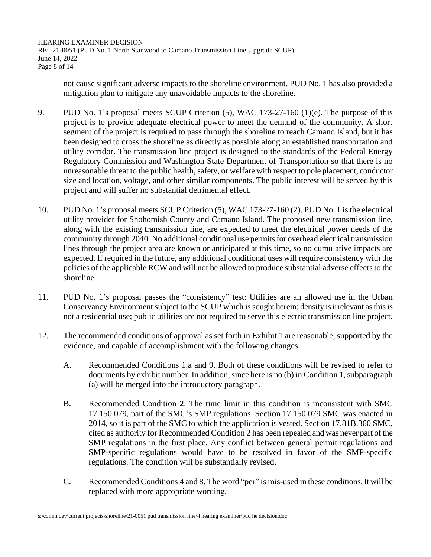HEARING EXAMINER DECISION RE: 21-0051 (PUD No. 1 North Stanwood to Camano Transmission Line Upgrade SCUP) June 14, 2022 Page 8 of 14

not cause significant adverse impacts to the shoreline environment. PUD No. 1 has also provided a mitigation plan to mitigate any unavoidable impacts to the shoreline.

- 9. PUD No. 1's proposal meets SCUP Criterion (5), WAC 173-27-160 (1)(e). The purpose of this project is to provide adequate electrical power to meet the demand of the community. A short segment of the project is required to pass through the shoreline to reach Camano Island, but it has been designed to cross the shoreline as directly as possible along an established transportation and utility corridor. The transmission line project is designed to the standards of the Federal Energy Regulatory Commission and Washington State Department of Transportation so that there is no unreasonable threat to the public health, safety, or welfare with respect to pole placement, conductor size and location, voltage, and other similar components. The public interest will be served by this project and will suffer no substantial detrimental effect.
- 10. PUD No. 1's proposal meets SCUP Criterion (5), WAC 173-27-160 (2). PUD No. 1 is the electrical utility provider for Snohomish County and Camano Island. The proposed new transmission line, along with the existing transmission line, are expected to meet the electrical power needs of the community through 2040. No additional conditional use permits for overhead electrical transmission lines through the project area are known or anticipated at this time, so no cumulative impacts are expected. If required in the future, any additional conditional uses will require consistency with the policies of the applicable RCW and will not be allowed to produce substantial adverse effects to the shoreline.
- 11. PUD No. 1's proposal passes the "consistency" test: Utilities are an allowed use in the Urban Conservancy Environment subject to the SCUP which is sought herein; density is irrelevant as this is not a residential use; public utilities are not required to serve this electric transmission line project.
- 12. The recommended conditions of approval as set forth in Exhibit 1 are reasonable, supported by the evidence, and capable of accomplishment with the following changes:
	- A. Recommended Conditions 1.a and 9. Both of these conditions will be revised to refer to documents by exhibit number. In addition, since here is no (b) in Condition 1, subparagraph (a) will be merged into the introductory paragraph.
	- B. Recommended Condition 2. The time limit in this condition is inconsistent with SMC 17.150.079, part of the SMC's SMP regulations. Section 17.150.079 SMC was enacted in 2014, so it is part of the SMC to which the application is vested. Section 17.81B.360 SMC, cited as authority for Recommended Condition 2 has been repealed and was never part of the SMP regulations in the first place. Any conflict between general permit regulations and SMP-specific regulations would have to be resolved in favor of the SMP-specific regulations. The condition will be substantially revised.
	- C. Recommended Conditions 4 and 8. The word "per" is mis-used in these conditions. It will be replaced with more appropriate wording.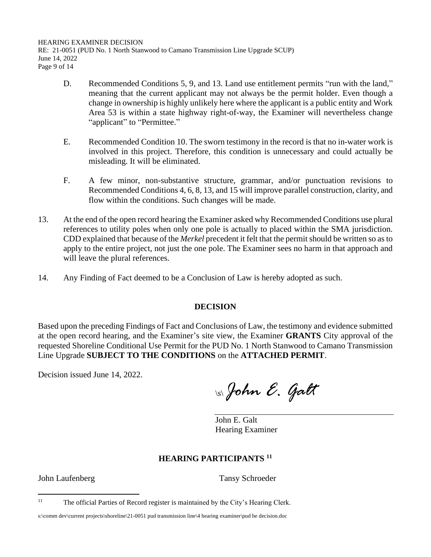HEARING EXAMINER DECISION RE: 21-0051 (PUD No. 1 North Stanwood to Camano Transmission Line Upgrade SCUP) June 14, 2022 Page 9 of 14

- D. Recommended Conditions 5, 9, and 13. Land use entitlement permits "run with the land," meaning that the current applicant may not always be the permit holder. Even though a change in ownership is highly unlikely here where the applicant is a public entity and Work Area 53 is within a state highway right-of-way, the Examiner will nevertheless change "applicant" to "Permittee."
- E. Recommended Condition 10. The sworn testimony in the record is that no in-water work is involved in this project. Therefore, this condition is unnecessary and could actually be misleading. It will be eliminated.
- F. A few minor, non-substantive structure, grammar, and/or punctuation revisions to Recommended Conditions 4, 6, 8, 13, and 15 will improve parallel construction, clarity, and flow within the conditions. Such changes will be made.
- 13. At the end of the open record hearing the Examiner asked why Recommended Conditions use plural references to utility poles when only one pole is actually to placed within the SMA jurisdiction. CDD explained that because of the *Merkel* precedent it felt that the permit should be written so as to apply to the entire project, not just the one pole. The Examiner sees no harm in that approach and will leave the plural references.
- 14. Any Finding of Fact deemed to be a Conclusion of Law is hereby adopted as such.

#### **DECISION**

Based upon the preceding Findings of Fact and Conclusions of Law, the testimony and evidence submitted at the open record hearing, and the Examiner's site view, the Examiner **GRANTS** City approval of the requested Shoreline Conditional Use Permit for the PUD No. 1 North Stanwood to Camano Transmission Line Upgrade **SUBJECT TO THE CONDITIONS** on the **ATTACHED PERMIT**.

Decision issued June 14, 2022.

\s\*John E. Galt*

John E. Galt Hearing Examiner

#### **HEARING PARTICIPANTS <sup>11</sup>**

John Laufenberg Tansy Schroeder

<sup>&</sup>lt;sup>11</sup> The official Parties of Record register is maintained by the City's Hearing Clerk.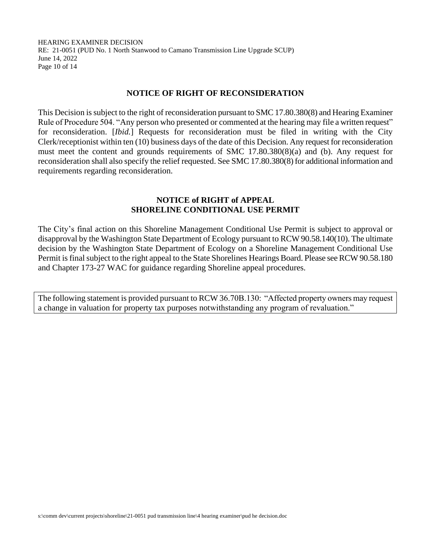HEARING EXAMINER DECISION RE: 21-0051 (PUD No. 1 North Stanwood to Camano Transmission Line Upgrade SCUP) June 14, 2022 Page 10 of 14

#### **NOTICE OF RIGHT OF RECONSIDERATION**

This Decision is subject to the right of reconsideration pursuant to SMC 17.80.380(8) and Hearing Examiner Rule of Procedure 504. "Any person who presented or commented at the hearing may file a written request" for reconsideration. [*Ibid.*] Requests for reconsideration must be filed in writing with the City Clerk/receptionist within ten (10) business days of the date of this Decision. Any request for reconsideration must meet the content and grounds requirements of SMC 17.80.380(8)(a) and (b). Any request for reconsideration shall also specify the relief requested. See SMC 17.80.380(8) for additional information and requirements regarding reconsideration.

#### **NOTICE of RIGHT of APPEAL SHORELINE CONDITIONAL USE PERMIT**

The City's final action on this Shoreline Management Conditional Use Permit is subject to approval or disapproval by the Washington State Department of Ecology pursuant to RCW 90.58.140(10). The ultimate decision by the Washington State Department of Ecology on a Shoreline Management Conditional Use Permit is final subject to the right appeal to the State Shorelines Hearings Board. Please see RCW 90.58.180 and Chapter 173-27 WAC for guidance regarding Shoreline appeal procedures.

The following statement is provided pursuant to RCW 36.70B.130: "Affected property owners may request a change in valuation for property tax purposes notwithstanding any program of revaluation."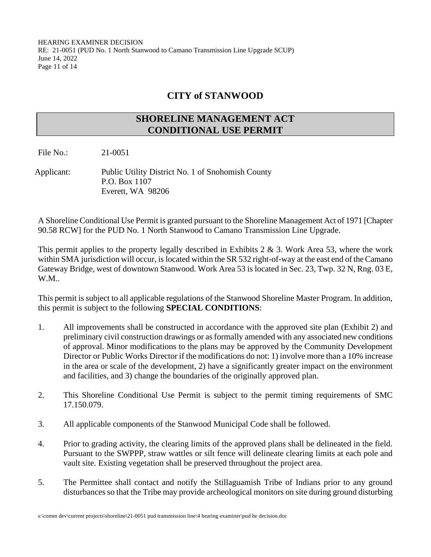## **CITY of STANWOOD**

### **SHORELINE MANAGEMENT ACT CONDITIONAL USE PERMIT**

File No.: 21-0051

Applicant: Public Utility District No. 1 of Snohomish County P.O. Box 1107 Everett, WA 98206

A Shoreline Conditional Use Permit is granted pursuant to the Shoreline Management Act of 1971 [Chapter 90.58 RCW] for the PUD No. 1 North Stanwood to Camano Transmission Line Upgrade.

This permit applies to the property legally described in Exhibits 2  $\&$  3. Work Area 53, where the work within SMA jurisdiction will occur, is located within the SR 532 right-of-way at the east end of the Camano Gateway Bridge, west of downtown Stanwood. Work Area 53 is located in Sec. 23, Twp. 32 N, Rng. 03 E, W.M..

This permit is subject to all applicable regulations of the Stanwood Shoreline Master Program. In addition, this permit is subject to the following **SPECIAL CONDITIONS**:

- 1. All improvements shall be constructed in accordance with the approved site plan (Exhibit 2) and preliminary civil construction drawings or as formally amended with any associated new conditions of approval. Minor modifications to the plans may be approved by the Community Development Director or Public Works Director if the modifications do not: 1) involve more than a 10% increase in the area or scale of the development, 2) have a significantly greater impact on the environment and facilities, and 3) change the boundaries of the originally approved plan.
- 2. This Shoreline Conditional Use Permit is subject to the permit timing requirements of SMC 17.150.079.
- 3. All applicable components of the Stanwood Municipal Code shall be followed.
- 4. Prior to grading activity, the clearing limits of the approved plans shall be delineated in the field. Pursuant to the SWPPP, straw wattles or silt fence will delineate clearing limits at each pole and vault site. Existing vegetation shall be preserved throughout the project area.
- 5. The Permittee shall contact and notify the Stillaguamish Tribe of Indians prior to any ground disturbances so that the Tribe may provide archeological monitors on site during ground disturbing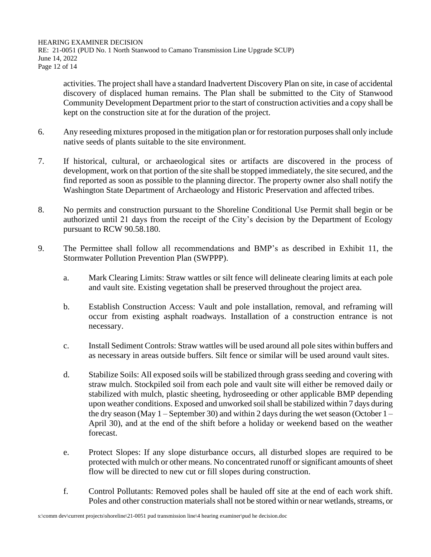HEARING EXAMINER DECISION RE: 21-0051 (PUD No. 1 North Stanwood to Camano Transmission Line Upgrade SCUP) June 14, 2022 Page 12 of 14

activities. The project shall have a standard Inadvertent Discovery Plan on site, in case of accidental discovery of displaced human remains. The Plan shall be submitted to the City of Stanwood Community Development Department prior to the start of construction activities and a copy shall be kept on the construction site at for the duration of the project.

- 6. Any reseeding mixtures proposed in the mitigation plan or for restoration purposes shall only include native seeds of plants suitable to the site environment.
- 7. If historical, cultural, or archaeological sites or artifacts are discovered in the process of development, work on that portion of the site shall be stopped immediately, the site secured, and the find reported as soon as possible to the planning director. The property owner also shall notify the Washington State Department of Archaeology and Historic Preservation and affected tribes.
- 8. No permits and construction pursuant to the Shoreline Conditional Use Permit shall begin or be authorized until 21 days from the receipt of the City's decision by the Department of Ecology pursuant to RCW 90.58.180.
- 9. The Permittee shall follow all recommendations and BMP's as described in Exhibit 11, the Stormwater Pollution Prevention Plan (SWPPP).
	- a. Mark Clearing Limits: Straw wattles or silt fence will delineate clearing limits at each pole and vault site. Existing vegetation shall be preserved throughout the project area.
	- b. Establish Construction Access: Vault and pole installation, removal, and reframing will occur from existing asphalt roadways. Installation of a construction entrance is not necessary.
	- c. Install Sediment Controls: Straw wattles will be used around all pole sites within buffers and as necessary in areas outside buffers. Silt fence or similar will be used around vault sites.
	- d. Stabilize Soils: All exposed soils will be stabilized through grass seeding and covering with straw mulch. Stockpiled soil from each pole and vault site will either be removed daily or stabilized with mulch, plastic sheeting, hydroseeding or other applicable BMP depending upon weather conditions. Exposed and unworked soil shall be stabilized within 7 days during the dry season (May  $1 -$ September 30) and within 2 days during the wet season (October  $1 -$ April 30), and at the end of the shift before a holiday or weekend based on the weather forecast.
	- e. Protect Slopes: If any slope disturbance occurs, all disturbed slopes are required to be protected with mulch or other means. No concentrated runoff or significant amounts of sheet flow will be directed to new cut or fill slopes during construction.
	- f. Control Pollutants: Removed poles shall be hauled off site at the end of each work shift. Poles and other construction materials shall not be stored within or near wetlands, streams, or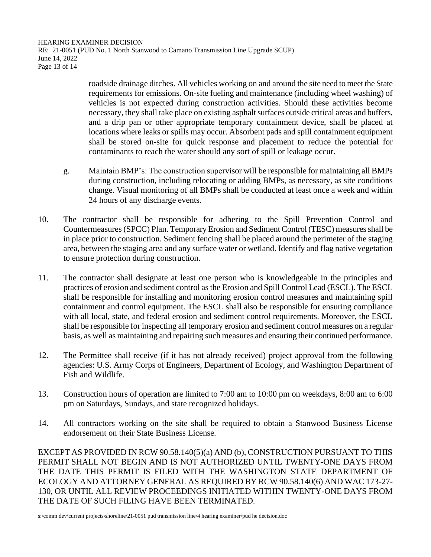HEARING EXAMINER DECISION RE: 21-0051 (PUD No. 1 North Stanwood to Camano Transmission Line Upgrade SCUP) June 14, 2022 Page 13 of 14

> roadside drainage ditches. All vehicles working on and around the site need to meet the State requirements for emissions. On-site fueling and maintenance (including wheel washing) of vehicles is not expected during construction activities. Should these activities become necessary, they shall take place on existing asphalt surfaces outside critical areas and buffers, and a drip pan or other appropriate temporary containment device, shall be placed at locations where leaks or spills may occur. Absorbent pads and spill containment equipment shall be stored on-site for quick response and placement to reduce the potential for contaminants to reach the water should any sort of spill or leakage occur.

- g. Maintain BMP's: The construction supervisor will be responsible for maintaining all BMPs during construction, including relocating or adding BMPs, as necessary, as site conditions change. Visual monitoring of all BMPs shall be conducted at least once a week and within 24 hours of any discharge events.
- 10. The contractor shall be responsible for adhering to the Spill Prevention Control and Countermeasures (SPCC) Plan. Temporary Erosion and Sediment Control (TESC) measures shall be in place prior to construction. Sediment fencing shall be placed around the perimeter of the staging area, between the staging area and any surface water or wetland. Identify and flag native vegetation to ensure protection during construction.
- 11. The contractor shall designate at least one person who is knowledgeable in the principles and practices of erosion and sediment control as the Erosion and Spill Control Lead (ESCL). The ESCL shall be responsible for installing and monitoring erosion control measures and maintaining spill containment and control equipment. The ESCL shall also be responsible for ensuring compliance with all local, state, and federal erosion and sediment control requirements. Moreover, the ESCL shall be responsible for inspecting all temporary erosion and sediment control measures on a regular basis, as well as maintaining and repairing such measures and ensuring their continued performance.
- 12. The Permittee shall receive (if it has not already received) project approval from the following agencies: U.S. Army Corps of Engineers, Department of Ecology, and Washington Department of Fish and Wildlife.
- 13. Construction hours of operation are limited to 7:00 am to 10:00 pm on weekdays, 8:00 am to 6:00 pm on Saturdays, Sundays, and state recognized holidays.
- 14. All contractors working on the site shall be required to obtain a Stanwood Business License endorsement on their State Business License.

EXCEPT AS PROVIDED IN RCW 90.58.140(5)(a) AND (b), CONSTRUCTION PURSUANT TO THIS PERMIT SHALL NOT BEGIN AND IS NOT AUTHORIZED UNTIL TWENTY-ONE DAYS FROM THE DATE THIS PERMIT IS FILED WITH THE WASHINGTON STATE DEPARTMENT OF ECOLOGY AND ATTORNEY GENERAL AS REQUIRED BY RCW 90.58.140(6) AND WAC 173-27- 130, OR UNTIL ALL REVIEW PROCEEDINGS INITIATED WITHIN TWENTY-ONE DAYS FROM THE DATE OF SUCH FILING HAVE BEEN TERMINATED.